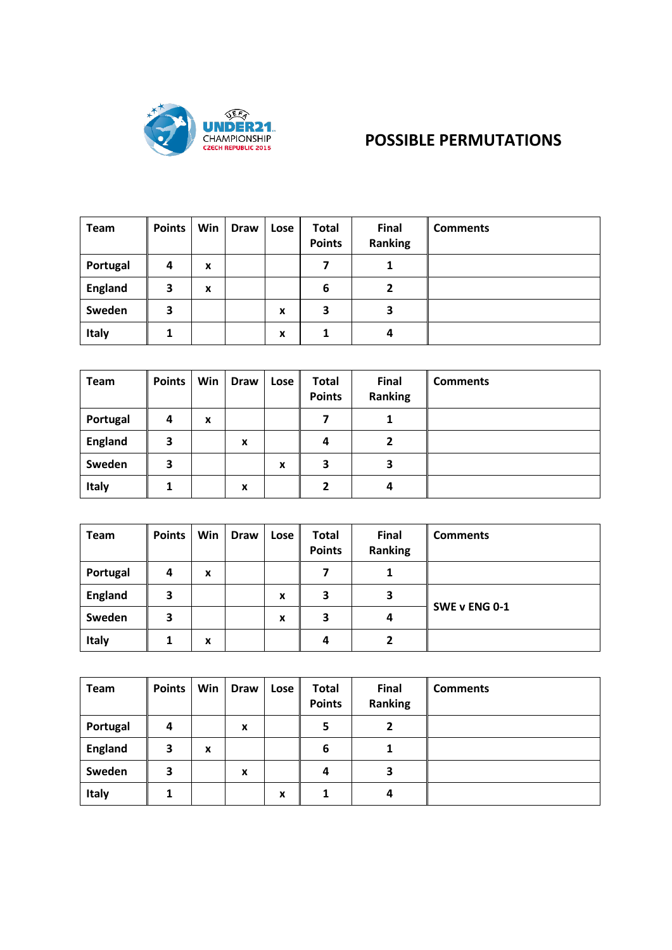

## **POSSIBLE PERMUTATIONS**

| <b>Team</b>    | <b>Points</b>  | Win | <b>Draw</b> | Lose | <b>Total</b><br><b>Points</b> | <b>Final</b><br>Ranking | <b>Comments</b> |
|----------------|----------------|-----|-------------|------|-------------------------------|-------------------------|-----------------|
| Portugal       | $\overline{a}$ | X   |             |      |                               | 1                       |                 |
| <b>England</b> | 3              | X   |             |      | 6                             | 2                       |                 |
| Sweden         | 3              |     |             | x    | 3                             | 3                       |                 |
| Italy          | 1              |     |             | x    |                               | 4                       |                 |

| <b>Team</b>    | <b>Points</b> | Win | <b>Draw</b> | Lose | <b>Total</b><br><b>Points</b> | <b>Final</b><br>Ranking | <b>Comments</b> |
|----------------|---------------|-----|-------------|------|-------------------------------|-------------------------|-----------------|
| Portugal       | 4             | X   |             |      |                               | 1                       |                 |
| <b>England</b> | 3             |     | X           |      | 4                             | 2                       |                 |
| Sweden         | 3             |     |             | x    | 3                             | 3                       |                 |
| Italy          |               |     | x           |      | 2                             | 4                       |                 |

| Team           | <b>Points</b> | Win | <b>Draw</b> | Lose | <b>Total</b><br><b>Points</b> | <b>Final</b><br><b>Ranking</b> | <b>Comments</b> |
|----------------|---------------|-----|-------------|------|-------------------------------|--------------------------------|-----------------|
| Portugal       | 4             | X   |             |      |                               | 1                              |                 |
| <b>England</b> | 3             |     |             | x    | 3                             | 3                              |                 |
| Sweden         | 3             |     |             | X    | 3                             | 4                              | SWE v ENG 0-1   |
| <b>Italy</b>   |               | x   |             |      | Δ                             | 2                              |                 |

| <b>Team</b>    | <b>Points</b> | Win | <b>Draw</b> | Lose | <b>Total</b><br><b>Points</b> | Final<br><b>Ranking</b> | <b>Comments</b> |
|----------------|---------------|-----|-------------|------|-------------------------------|-------------------------|-----------------|
| Portugal       | 4             |     | X           |      | 5                             | 2                       |                 |
| <b>England</b> | 3             | x   |             |      | 6                             | 1                       |                 |
| Sweden         | 3             |     | X           |      | 4                             | 3                       |                 |
| Italy          |               |     |             | x    |                               | 4                       |                 |